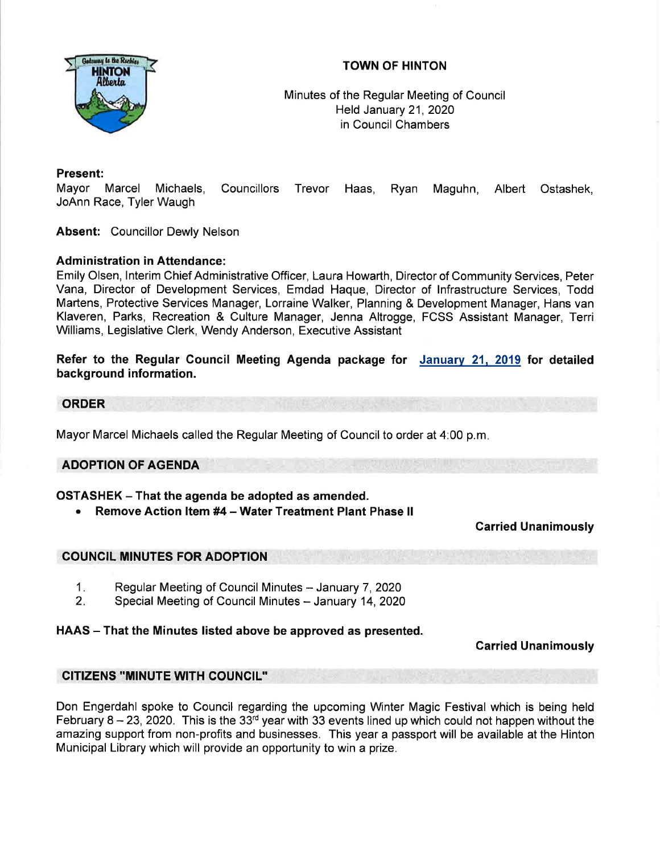

## TOWN OF HINTON

Minutes of the Regular Meeting of Council Held January 21,2Q2Q in Council Chambers

### Present:

Mayor Marcel Michaels, Councillors Trevor Haas, Ryan Maguhn, Albert Ostashek, JoAnn Race, Tyler Waugh

Absent: Councillor Dewly Nelson

#### Administration in Attendance:

Emily Olsen, lnterim Chief Administrative Officer, Laura Howarth, Directorof Community Services, Peter Vana, Director of Development Services, Emdad Haque, Director of lnfrastructure Services, Todd Martens, Protective Services Manager, Lorraine Walker, Planning & Development Manager, Hans van Klaveren, Parks, Recreation & Culture Manager, Jenna Altrogge, FCSS Assistant Manager, Terri Williams, Legislative Clerk, Wendy Anderson, Executive Assistant

Refer to the Regular Council Meeting Agenda package for January 21, 2019 for detailed background information.

#### ORDER

Mayor Marcel Michaels called the Regular Meeting of Council to order at 4:00 p.m.

#### ADOPTION OF AGENDA

#### OSTASHEK - That the agenda be adopted as amended.

Remove Action Item #4 - Water Treatment Plant Phase II

#### Garried Unanimously

#### COUNCIL MINUTES FOR ADOPTION

- Regular Meeting of Council Minutes January 7, 2020  $1<sub>n</sub>$
- Special Meeting of Council Minutes January 14, 2020  $2<sub>1</sub>$

#### HAAS – That the Minutes listed above be approved as presented.

Garried Unanimously

#### CITIZENS "MINUTE WTH COUNCIL''

Don Engerdahl spoke to Council regarding the upcoming Winter Magic Festival which is being held February 8 - 23, 2020. This is the 33<sup>rd</sup> year with 33 events lined up which could not happen without the amazing support from non-profits and businesses. This year a passport will be available at the Hinton Municipal Library which will provide an opportunity to win a prize.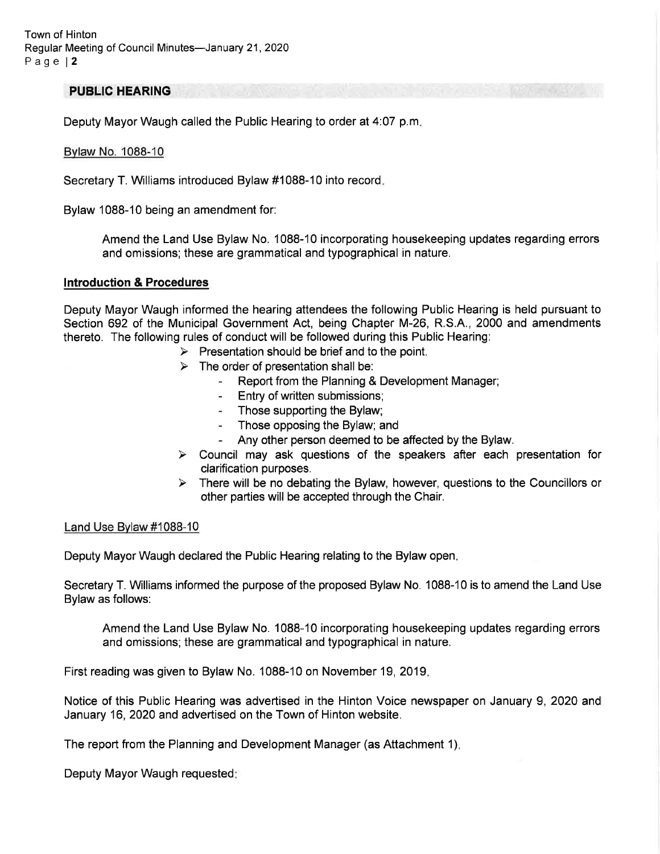#### PUBLIC HEARING

Deputy Mayor Waugh called the Public Hearing to order at 4:07 p.m

#### Bvlaw No. 1088-10

Secretary T. Williams introduced Bylaw #1088-10 into record

Bylaw 1088-10 being an amendment for:

Amend the Land Use Bylaw No. 1088-10 incorporating housekeeping updates regarding errors and omissions; these are grammatical and typographical in nature.

#### lntroduction & Procedures

Deputy Mayor Waugh informed the hearing attendees the following Public Hearing is held pursuant to Section 692 of the Municipal Government Act, being Chapter M-26, R.S.A., 2000 and amendments thereto. The following rules of conduct will be followed during this Public Hearing:

- $\triangleright$  Presentation should be brief and to the point.
- 
- $\triangleright$  The order of presentation shall be:<br>- Report from the Planning & Development Manager;
	- Entry of written submissions;
	- Those supporting the Bylaw;
	- Those opposing the Bylaw; and
	- Any other person deemed to be affected by the Bylaw.
- $\triangleright$  Council may ask questions of the speakers after each presentation for clarification purposes.
- $\triangleright$  There will be no debating the Bylaw, however, questions to the Councillors or other parties will be accepted through the Chair.

#### Land Use Bvlaw #1088-10

Deputy Mayor Waugh declared the Public Hearing relating to the Bylaw open

Secretary T. Williams informed the purpose of the proposed Bylaw No. 1088-10 is to amend the Land Use Bylaw as follows:

Amend the Land Use Bylaw No. 1088-10 incorporating housekeeping updates regarding errors and omissions; these are grammatical and typographical in nature.

First reading was given to Bylaw No. 1088-10 on November 19, 2019

Notice of this Public Hearing was advertised in the Hinton Voice newspaper on January 9, 2020 and January 16,2020 and advertised on the Town of Hinton website.

The report from the Planning and Development Manager (as Attachment 1)

Deputy Mayor Waugh requested: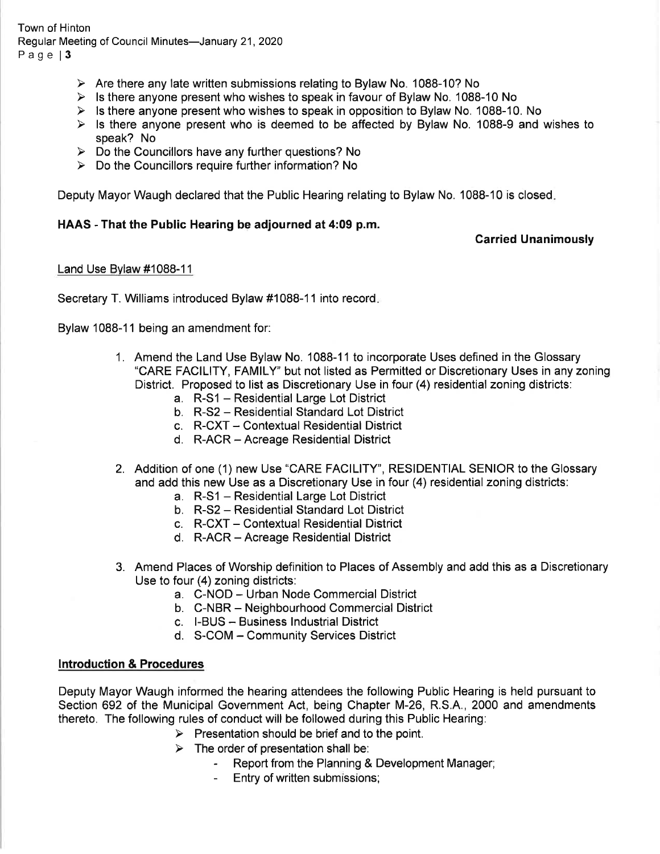Town of Hinton Regular Meeting of Council Minutes-January 21, 2020 Page | 3

- $\triangleright$  Are there any late written submissions relating to Bylaw No. 1088-10? No
- $\triangleright$  Is there anyone present who wishes to speak in favour of Bylaw No. 1088-10 No
- $\triangleright$  Is there anyone present who wishes to speak in opposition to Bylaw No. 1088-10. No
- $\triangleright$  Is there anyone present who is deemed to be affected by Bylaw No. 1088-9 and wishes to speak? No
- $\triangleright$  Do the Councillors have any further questions? No
- $\triangleright$  Do the Councillors require further information? No

Deputy Mayor Waugh declared that the Public Hearing relating to Bylaw No. 1088-10 is closed

#### HAAS - That the Public Hearing be adjourned at 4:09 p.m.

#### Carried Unanimously

#### Land Use Bylaw #1088-11

Secretary T. Williams introduced Bylaw #1088-11 into record

Bylaw 1088-11 being an amendment for:

- 1. Amend the Land Use Bylaw No. 1088-11 to incorporate Uses defined in the Glossary<br>"CARE FACILITY, FAMILY" but not listed as Permitted or Discretionary Uses in any zoning District. Proposed to list as Discretionary Use in four (4) residential zoning districts:
	- a. R-S1 Residential Large Lot District
	- b. R-S2 Residential Standard Lot District
	- c. R-CXT Contextual Residential District
	- d. R-ACR Acreage Residential District
- 2. Addition of one (1) new Use "CARE FACILITY', RESIDENTIAL SENIOR to the Glossary and add this new Use as a Discretionary Use in four (4) residential zoning districts:
	- a. R-S1 Residential Large Lot District
	- b. R-S2 Residential Standard Lot District
	- c. R-CXT Contextual Residential District
	- d. R-ACR Acreage Residential District
- 3. Amend Places of Worship definition to Places of Assembly and add this as a Discretionary Use to four (4) zoning districts:
	- a. C-NOD Urban Node Commercial District
	- b. C-NBR Neighbourhood Commercial District
	- c. l-BUS Business lndustrial District
	- d. S-COM Community Services District

#### lntroduction & Procedures

Deputy Mayor Waugh informed the hearing attendees the following Public Hearing is held pursuant to Section 692 of the Municipal Government Act, being Chapter M-26, R.S.A., 2000 and amendments thereto. The following rules of conduct will be followed during this Public Hearing:

- $\triangleright$  Presentation should be brief and to the point.
- 
- > The order of presentation shall be:<br>- Report from the Planning & Development Manager;
	- Entry of written submissions;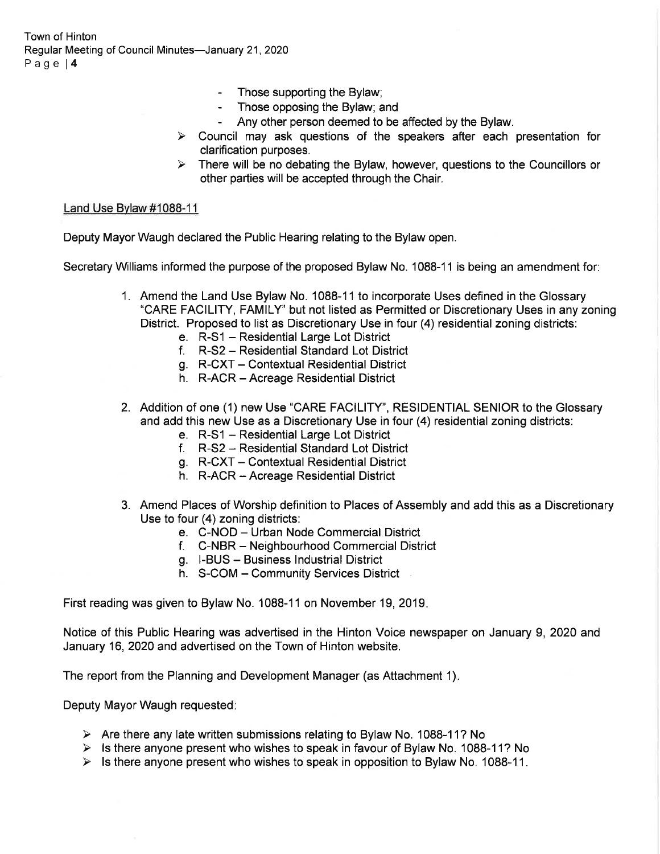Town of Hinton Regular Meeting of Council Minutes-January 21, 2020 Page l4

- Those supporting the Bylaw;
- Those opposing the Bylaw; and
- Any other person deemed to be affected by the Bylaw.
- $\triangleright$  Council may ask questions of the speakers after each presentation for clarification purposes.
- $\triangleright$  There will be no debating the Bylaw, however, questions to the Councillors or other parties will be accepted through the Chair.

#### Land Use Bvlaw #1088-11

Deputy Mayor Waugh declared the Public Hearing relating to the Bylaw open.

Secretary Williams informed the purpose of the proposed Bylaw No. 1088-11 is being an amendment for:

- 1. Amend the Land Use Bylaw No. 1088-11 to incorporate Uses defined in the Glossary "CARE FACILITY, FAMILY' but not listed as Permitted or Discretionary Uses in any zoning District. Proposed to list as Discretionary Use in four (4) residential zoning districts:
	-
	- e. R-S1 Residential Large Lot District f. R-S2 Residential Standard Lot District
	- g. R-CXT Contextual Residential District
	- h. R-ACR Acreage Residential District
- 2. Addition of one (1) new Use "CARE FACILITY', RESIDENTIAL SENIOR to the Glossary and add this new Use as a Discretionary Use in four (4) residential zoning districts:
	- e. R-S1 Residential Large Lot District f. R-S2 Residential Standard Lot District
	-
	- g. R-CXT Contextual Residential District
	- h. R-ACR Acreage Residential District
- 3. Amend Places of Worship definition to Places of Assembly and add this as a Discretionary Use to four (4) zoning districts:
	- e. C-NOD Urban Node Commercial District<br>f. C-NBR Neighbourhood Commercial District
	-
	- g. I-BUS Business lndustrial District
	- h. S-COM Community Services District

First reading was given to Bylaw No. 1088-11 on November 19, 2019

Notice of this Public Hearing was advertised in the Hinton Voice newspaper on January 9,2020 and January 16,2020 and advertised on the Town of Hinton website.

The report from the Planning and Development Manager (as Attachment 1)

Deputy Mayor Waugh requested

- $\triangleright$  Are there any late written submissions relating to Bylaw No. 1088-11? No
- $\triangleright$  Is there anyone present who wishes to speak in favour of Bylaw No. 1088-11? No
- $\triangleright$  Is there anyone present who wishes to speak in opposition to Bylaw No. 1088-11.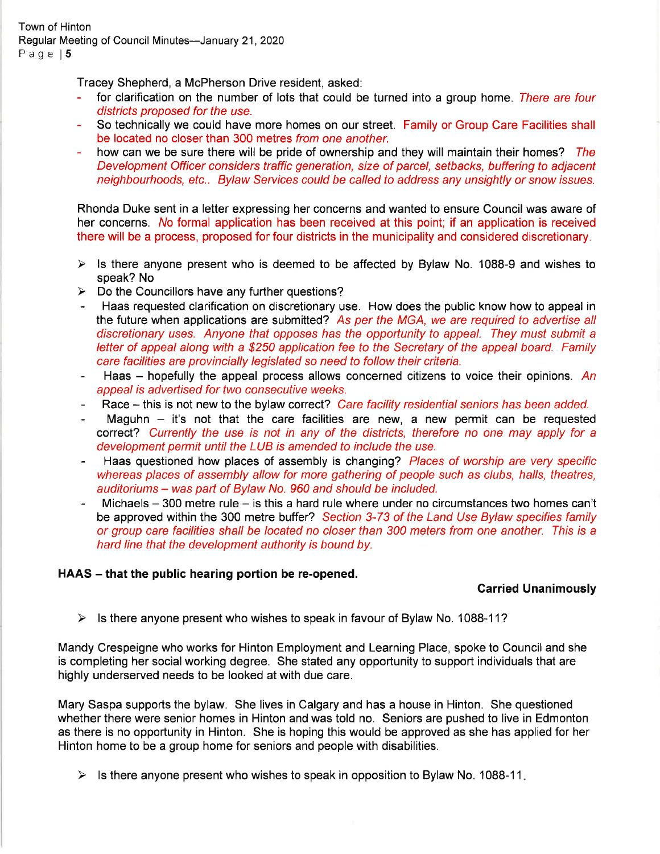Tracey Shepherd, a McPherson Drive resident, asked:

- for clarification on the number of lots that could be turned into a group home. There are four districts proposed for the use.
- So technically we could have more homes on our street. Family or Group Care Facilities shall be located no closer than 300 metres from one another.
- how can we be sure there will be pride of ownership and they will maintain their homes? The Development Officer considers traffic generation, size of parcel, setbacks, buffering to adjacent neighbourhoods, etc.. Bylaw Services could be called fo address any unsightly or snowissues.

Rhonda Duke sent in a letter expressing her concerns and wanted to ensure Council was aware of her concerns. No formal application has been received at this point; if an application is received there will be a process, proposed for four districts in the municipality and considered discretionary.

- $\triangleright$  Is there anyone present who is deemed to be affected by Bylaw No. 1088-9 and wishes to speak? No
- 
- > Do the Councillors have any further questions?<br>- Haas requested clarification on discretionary use. How does the public know how to appeal in the future when applications are submitted? As per the MGA, we are required to advertise all discretionary uses. Anyone that opposes has the opportunity to appeal. They must submit a letter of appeal along with a \$250 application fee to the Secretary of the appeal board. Family care facilities are provincially legislafed so need to follow their criteria.
- Haas hopefully the appeal process allows concerned citizens to voice their opinions. An appeal is advertised for two consecutive weeks.
- Race this is not new to the bylaw correct? Care facility residential seniors has been added.
- Maguhn  $-$  it's not that the care facilities are new, a new permit can be requested correct? Currently the use is not in any of the districts, therefore no one may apply for a development permit until the LUB is amended to include the use.
- Haas questioned how places of assembly is changing? Places of worship are very specific whereas places of assembly allow for more gathering of people such as clubs, halls, theatres, auditoriums - was part of Bylaw No. 960 and should be included.
- Michaels  $-$  300 metre rule  $-$  is this a hard rule where under no circumstances two homes can't be approved within the 300 metre buffer? Section 3-73 of the Land Use Bylaw specifies family or group care facilities shall be located no closer than 300 meters from one another. This is a hard line that the development authority is bound by.

#### HAAS – that the public hearing portion be re-opened.

#### Garried Unanimously

 $\triangleright$  Is there anyone present who wishes to speak in favour of Bylaw No. 1088-11?

Mandy Crespeigne who works for Hinton Employment and Learning Place, spoke to Council and she is completing her socialworking degree. She stated any opportunity to support individuals that are highly underserved needs to be looked at with due care.

Mary Saspa supports the bylaw. She lives in Calgary and has a house in Hinton. She questioned whether there were senior homes in Hinton and was told no. Seniors are pushed to live in Edmonton as there is no opportunity in Hinton. She is hoping this would be approved as she has applied for her Hinton home to be a group home for seniors and people with disabilities.

 $\triangleright$  Is there anyone present who wishes to speak in opposition to Bylaw No. 1088-11.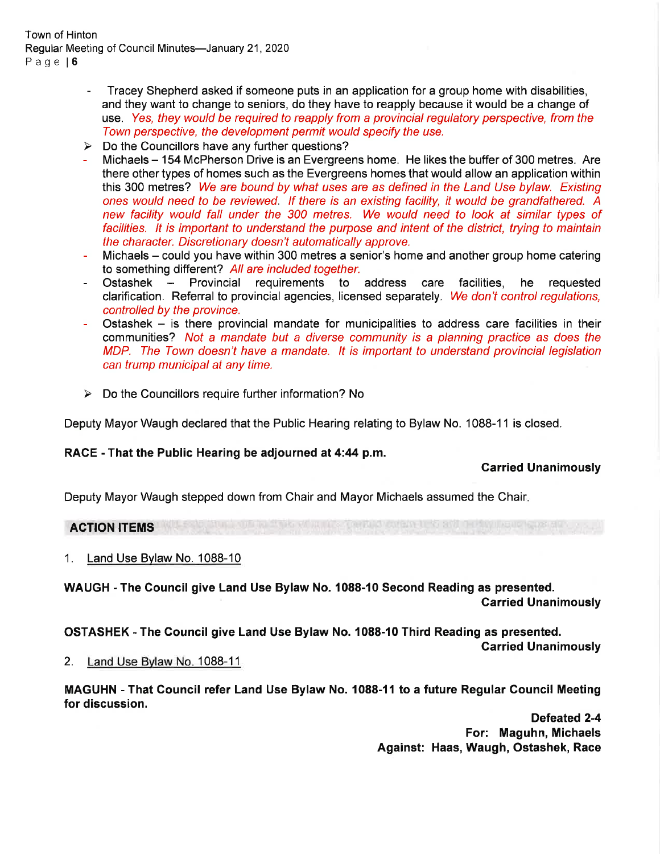Town of Hinton Regular Meeting of Council Minutes-January 21, 2020 Page l6

- Tracey Shepherd asked if someone puts in an application for a group home with disabilities, and they want to change to seniors, do they have to reapply because it would be a change of use. Yes, they would be required to reapply from a provincial regulatory perspective, from the Town perspective, the development permit would specify the use.
- 
- ► Do the Councillors have any further questions?<br>- Michaels 154 McPherson Drive is an Evergreens home. He likes the buffer of 300 metres. Are there other types of homes such as the Evergreens homes that would allow an application within this 300 metres? We are bound by what uses are as defined in the Land Use bylaw. Existing ones would need to be reviewed. lf there is an existing facility, it would be grandfathered. A new facility would fall under the 300 metres. We would need to look at similar types of facilities. lt is important to understand the purpose and intent of the district, trying to maintain the character. Discretionary doesn't automatically approve.
- Michaels could you have within 300 metres a senior's home and another group home catering to something different? All are included together.
- Ostashek Provincial requirements to address care facilities, he requested clarification. Referral to provincial agencies, licensed separately. We don't control regulations, controlled by the province.
- Ostashek  $-$  is there provincial mandate for municipalities to address care facilities in their communities? Not a mandate but a diverse community is a planning practice as does fhe MDP. The Town doesn't have a mandate. It is important to understand provincial legislation can trump municipal at any time.
- $\triangleright$  Do the Councillors require further information? No

Deputy Mayor Waugh declared that the Public Hearing relating to Bylaw No. 1088-11 is closed.

#### RACE - That the Public Hearing be adjourned at 4:44 p.m.

#### Carried Unanimously

Deputy Mayor Waugh stepped down from Chair and Mayor Michaels assumed the Chair

## ACTION ITEMS

<sup>1</sup>. Land Use Bvlaw No. 1088-10

WAUGH - The Council give Land Use Bylaw No. 1088-10 Second Reading as presented.

Garried Unanimously

OSTASHEK - The Gouncil give Land Use Bylaw No. 1088-10 Third Reading as presented.

Garried Unanimously

2. Land Use Bylaw No. 1088-11

MAGUHN - That Council refer Land Use Bylaw No. 1088-11 to a future Regular Council Meeting for discussion.

> Defeated 2-4 For: Maguhn, Michaels Against: Haas, Waugh, Ostashek, Race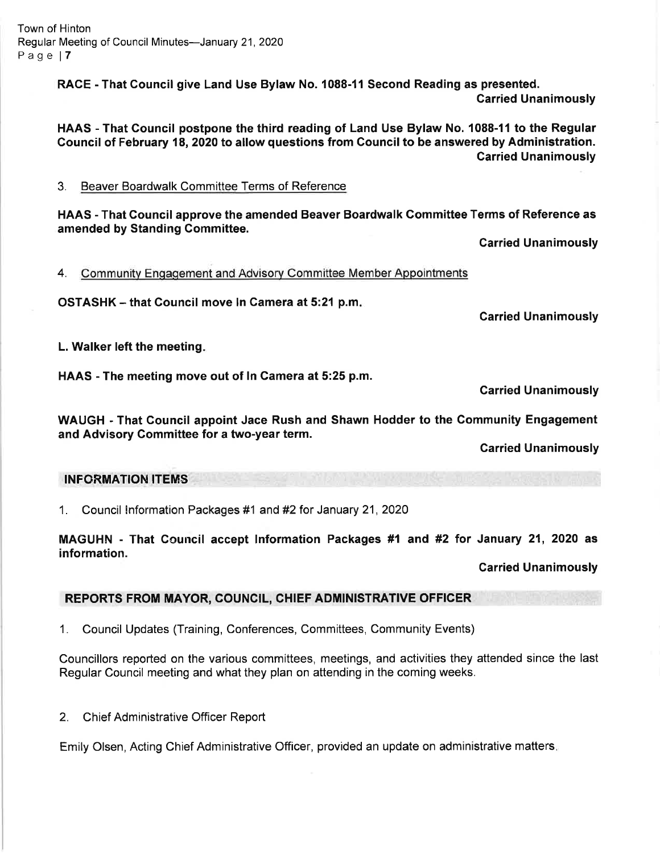RACE - That Council give Land Use Bylaw No. 1088-11 Second Reading as presented. Carried Unanimously

HAAS - That Council postpone the third reading of Land Use Bylaw No. 1088-11 to the Regular Council of February 18, 2020 to allow questions from Council to be answered by Administration. Garried Unanimously

3. Beaver Boardwalk Committee Terms of Reference

HAAS - That Gouncil approve the amended Beaver Boardwalk Gommittee Terms of Reference as amended by Standing Gommittee.

Carried Unanimously

4. Community Engagement and Advisory Committee Member Appointments

OSTASHK - that Gouncil move ln Gamera at 5:21 p.m

Carried Unanimously

L. Walker left the meeting

HAAS - The meeting move out of In Camera at 5:25 p.m.

Garried Unanimously

WAUGH - That Gouncil appoint Jace Rush and Shawn Hodder to the Community Engagement and Advisory Gommittee for a two-year term.

Garried Unanimously

## INFORMATION ITEMS

1. Council lnformation Packages #1 and #2 for January 21 , 2O2O

MAGUHN - That Council accept Information Packages #1 and #2 for January 21, 2O2O as information.

Carried Unanimously

# REPORTS FROM MAYOR, COUNCIL, CHIEF ADMINISTRATIVE OFFICER

1. Council Updates (Training, Conferences, Committees, Community Events)

Councillors reported on the various committees, meetings, and activities they attended since the last Regular Council meeting and what they plan on attending in the coming weeks.

2. Chief Administrative Officer Report

Emily Olsen, Acting Chief Administrative Officer, provided an update on administrative matters